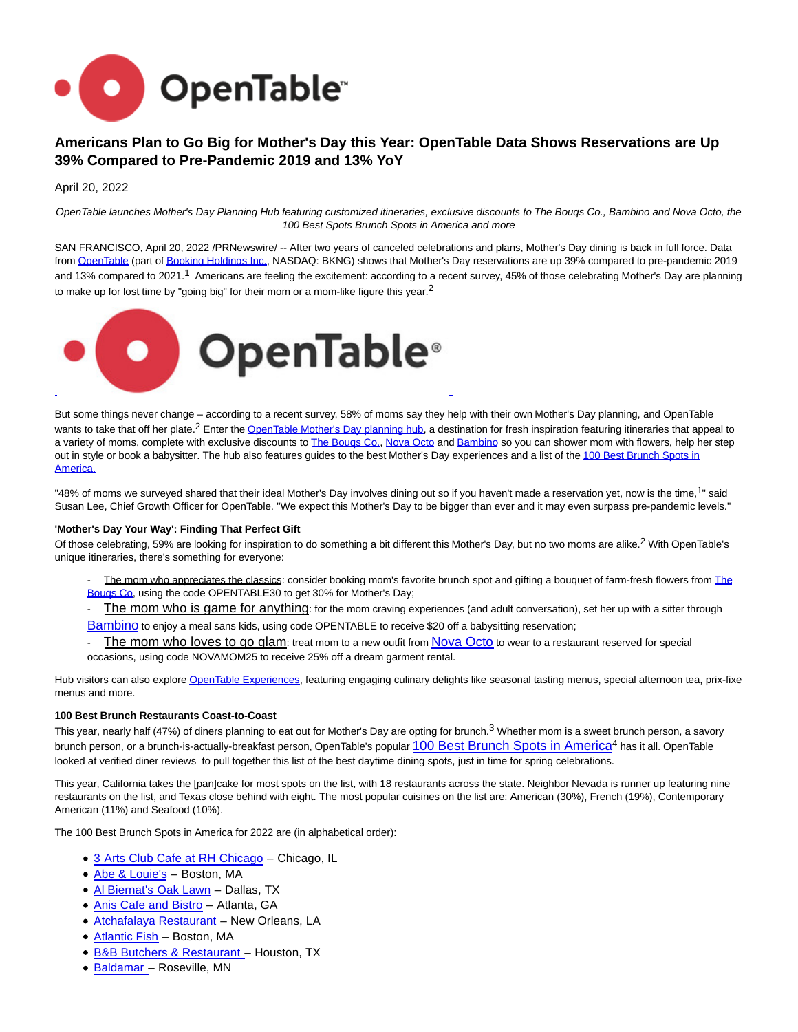

# **Americans Plan to Go Big for Mother's Day this Year: OpenTable Data Shows Reservations are Up 39% Compared to Pre-Pandemic 2019 and 13% YoY**

April 20, 2022

OpenTable launches Mother's Day Planning Hub featuring customized itineraries, exclusive discounts to The Bouqs Co., Bambino and Nova Octo, the 100 Best Spots Brunch Spots in America and more

SAN FRANCISCO, April 20, 2022 /PRNewswire/ -- After two years of canceled celebrations and plans, Mother's Day dining is back in full force. Data from [OpenTable \(](https://c212.net/c/link/?t=0&l=en&o=3510475-1&h=2678731940&u=https%3A%2F%2Fwww.opentable.com%2F&a=OpenTable)part of [Booking Holdings Inc.,](https://c212.net/c/link/?t=0&l=en&o=3510475-1&h=2226602254&u=https%3A%2F%2Fc212.net%2Fc%2Flink%2F%3Ft%3D0%26l%3Den%26o%3D3199451-1%26h%3D1444896177%26u%3Dhttps%253A%252F%252Fwww.bookingholdings.com%252F%26a%3DBooking%2BHoldings%2BInc.&a=Booking+Holdings+Inc.) NASDAQ: BKNG) shows that Mother's Day reservations are up 39% compared to pre-pandemic 2019 and 13% compared to 2021.1 Americans are feeling the excitement: according to a recent survey, 45% of those celebrating Mother's Day are planning to make up for lost time by "going big" for their mom or a mom-like figure this year.<sup>2</sup>



But some things never change – according to a recent survey, 58% of moms say they help with their own Mother's Day planning, and OpenTable wants to take that off her plate.<sup>2</sup> Enter th[e OpenTable Mother's Day planning hub,](https://c212.net/c/link/?t=0&l=en&o=3510475-1&h=2574294852&u=https%3A%2F%2Fblog.opentable.com%2Fmothers-day-itineraries%2F&a=OpenTable+Mother%27s+Day+planning+hub) a destination for fresh inspiration featuring itineraries that appeal to a variety of moms, complete with exclusive discounts to The Bougs Co., [Nova Octo a](https://c212.net/c/link/?t=0&l=en&o=3510475-1&h=3993025605&u=https%3A%2F%2Fwww.novaocto.com%2F&a=Nova+Octo)nd [Bambino s](https://c212.net/c/link/?t=0&l=en&o=3510475-1&h=2342707082&u=https%3A%2F%2Fwww.bambinositters.com%2F&a=Bambino)o you can shower mom with flowers, help her step out in style or book a babysitter. The hub also features guides to the best Mother's Day experiences and a list of the [100 Best Brunch Spots in](https://c212.net/c/link/?t=0&l=en&o=3510475-1&h=2077316765&u=https%3A%2F%2Fwww.opentable.com%2Flists%2Fbest-brunch-us-2022&a=100+Best+Brunch+Spots+in+America) Americ[a.](https://c212.net/c/link/?t=0&l=en&o=3510475-1&h=944906840&u=https%3A%2F%2Fwww.opentable.com%2Flists%2Fbest-brunch-us-2022&a=.)

"48% of moms we surveyed shared that their ideal Mother's Day involves dining out so if you haven't made a reservation yet, now is the time,<sup>1</sup>" said Susan Lee, Chief Growth Officer for OpenTable. "We expect this Mother's Day to be bigger than ever and it may even surpass pre-pandemic levels."

#### **'Mother's Day Your Way': Finding That Perfect Gift**

Of those celebrating, 59% are looking for inspiration to do something a bit different this Mother's Day, but no two moms are alike.2 With OpenTable's unique itineraries, there's something for everyone:

- The mom who appreciates the classics: consider booking mom's favorite brunch spot and gifting a bouquet of farm-fresh flowers from [The](https://c212.net/c/link/?t=0&l=en&o=3510475-1&h=838610113&u=https%3A%2F%2Fbouqs.com%2F&a=The+Bouqs+Co) Bouqs Co, using the code OPENTABLE30 to get 30% for Mother's Day;
- The mom who is game for anything: for the mom craving experiences (and adult conversation), set her up with a sitter through [Bambino](https://c212.net/c/link/?t=0&l=en&o=3510475-1&h=2342707082&u=https%3A%2F%2Fwww.bambinositters.com%2F&a=Bambino) to enjoy a meal sans kids, using code OPENTABLE to receive \$20 off a babysitting reservation;
- The mom who loves to go glam: treat mom to a new outfit from [Nova Octo](https://c212.net/c/link/?t=0&l=en&o=3510475-1&h=3993025605&u=https%3A%2F%2Fwww.novaocto.com%2F&a=Nova+Octo) to wear to a restaurant reserved for special occasions, using code NOVAMOM25 to receive 25% off a dream garment rental.

Hub visitors can also explor[e OpenTable Experiences,](https://c212.net/c/link/?t=0&l=en&o=3510475-1&h=466039016&u=https%3A%2F%2Fwww.opentable.com%2Fexperiences&a=OpenTable+Experiences) featuring engaging culinary delights like seasonal tasting menus, special afternoon tea, prix-fixe menus and more.

#### **100 Best Brunch Restaurants Coast-to-Coast**

This year, nearly half (47%) of diners planning to eat out for Mother's Day are opting for brunch.<sup>3</sup> Whether mom is a sweet brunch person, a savory brunch person, or a brunch-is-actually-breakfast person, OpenTable's popular [100 Best Brunch Spots in America](https://c212.net/c/link/?t=0&l=en&o=3510475-1&h=2077316765&u=https%3A%2F%2Fwww.opentable.com%2Flists%2Fbest-brunch-us-2022&a=100+Best+Brunch+Spots+in+America)<sup>4</sup> has it all. OpenTable looked at verified diner reviews to pull together this list of the best daytime dining spots, just in time for spring celebrations.

This year, California takes the [pan]cake for most spots on the list, with 18 restaurants across the state. Neighbor Nevada is runner up featuring nine restaurants on the list, and Texas close behind with eight. The most popular cuisines on the list are: American (30%), French (19%), Contemporary American (11%) and Seafood (10%).

The 100 Best Brunch Spots in America for 2022 are (in alphabetical order):

- [3 Arts Club Cafe at RH Chicago –](https://c212.net/c/link/?t=0&l=en&o=3510475-1&h=1377899426&u=https%3A%2F%2Fwww.opentable.com%2Fr%2F3-arts-club-cafe-at-rh-chicago&a=3+Arts+Club+Cafe+at+RH+Chicago) Chicago, IL
- [Abe & Louie's](https://c212.net/c/link/?t=0&l=en&o=3510475-1&h=2559632696&u=https%3A%2F%2Fwww.opentable.com%2Fr%2Fabe-and-louies-boston&a=Abe+%26+Louie%27s)  Boston, MA
- [Al Biernat's](https://c212.net/c/link/?t=0&l=en&o=3510475-1&h=2899579997&u=https%3A%2F%2Fwww.opentable.com%2Fal-biernats&a=Al+Biernat%27s+Oak+Lawn) Oak Lawn Dallas, TX
- [Anis Cafe and Bistro](https://c212.net/c/link/?t=0&l=en&o=3510475-1&h=847895722&u=https%3A%2F%2Fwww.opentable.com%2Fanis-cafe-and-bistro&a=Anis+Cafe+and+Bistro)  Atlanta, GA
- [Atchafalaya Restaurant](https://c212.net/c/link/?t=0&l=en&o=3510475-1&h=115990185&u=https%3A%2F%2Fwww.opentable.com%2Fr%2Fatchafalaya-restaurant-new-orleans&a=Atchafalaya+Restaurant+) New Orleans, LA
- [Atlantic Fish](https://c212.net/c/link/?t=0&l=en&o=3510475-1&h=936670644&u=https%3A%2F%2Fwww.opentable.com%2Fatlantic-fish&a=Atlantic+Fish)  Boston, MA
- [B&B Butchers & Restaurant –](https://c212.net/c/link/?t=0&l=en&o=3510475-1&h=4256718369&u=https%3A%2F%2Fwww.opentable.com%2Fr%2Fb-and-b-butchers-and-restaurant-houston&a=B%26B+Butchers+%26+Restaurant+) Houston, TX
- [Baldamar –](https://c212.net/c/link/?t=0&l=en&o=3510475-1&h=3636121522&u=https%3A%2F%2Fwww.opentable.com%2Fr%2Fbaldamar-roseville&a=Baldamar+) Roseville, MN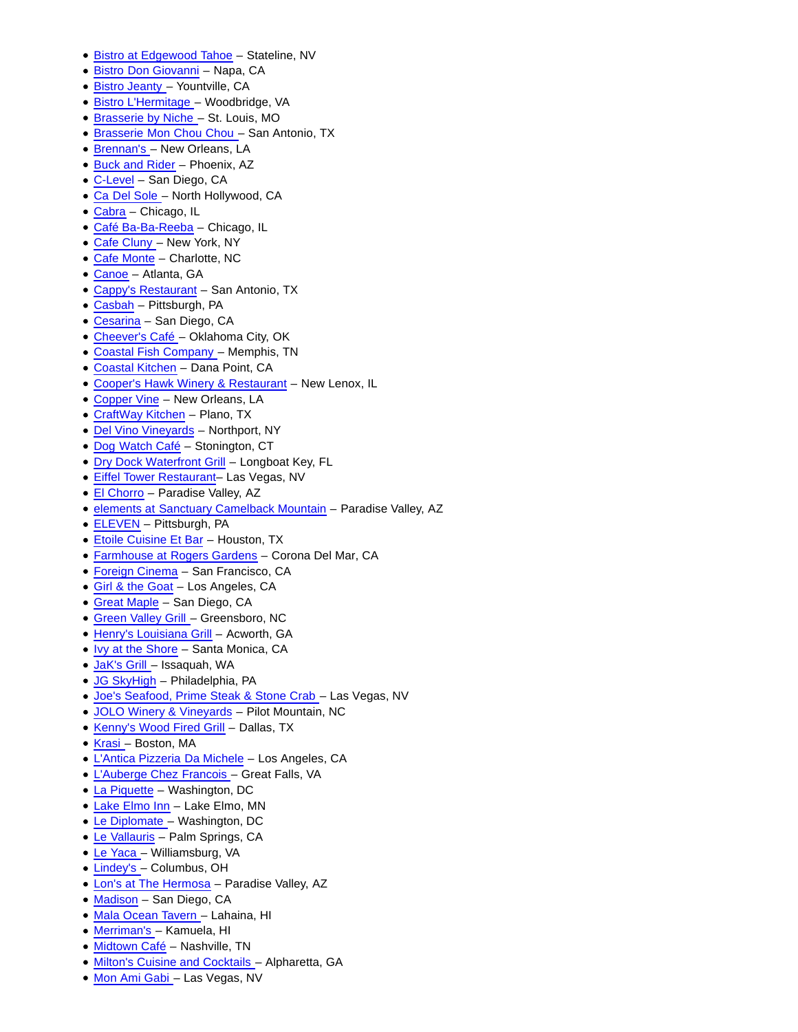- [Bistro at Edgewood Tahoe –](https://c212.net/c/link/?t=0&l=en&o=3510475-1&h=2269492003&u=https%3A%2F%2Fwww.opentable.com%2Fr%2Fbistro-at-edgewood-tahoe-stateline&a=Bistro+at+Edgewood+Tahoe) Stateline, NV
- [Bistro Don Giovanni –](https://c212.net/c/link/?t=0&l=en&o=3510475-1&h=3978581553&u=https%3A%2F%2Fwww.opentable.com%2Fbistro-don-giovanni-napa&a=Bistro+Don+Giovanni) Napa, CA
- Bistro Jeanty Yountville, CA
- [Bistro L'Hermitage –](https://c212.net/c/link/?t=0&l=en&o=3510475-1&h=2872786297&u=https%3A%2F%2Fwww.opentable.com%2Fbistro-lhermitage&a=Bistro+L%27Hermitage+) Woodbridge, VA
- [Brasserie by Niche –](https://c212.net/c/link/?t=0&l=en&o=3510475-1&h=533847061&u=https%3A%2F%2Fwww.opentable.com%2Fr%2Fbrasserie-by-niche-st-louis&a=Brasserie+by+Niche+) St. Louis, MO
- [Brasserie Mon Chou Chou](https://c212.net/c/link/?t=0&l=en&o=3510475-1&h=353338879&u=https%3A%2F%2Fwww.opentable.com%2Fr%2Fbrasserie-mon-chou-chou-san-antonio&a=Brasserie+Mon+Chou+Chou+) San Antonio, TX
- [Brennan's](https://c212.net/c/link/?t=0&l=en&o=3510475-1&h=1481890890&u=https%3A%2F%2Fwww.opentable.com%2Fbrennans&a=Brennan%27s+) New Orleans, LA
- Buck and Rider Phoenix, AZ
- [C-Level –](https://c212.net/c/link/?t=0&l=en&o=3510475-1&h=570573674&u=https%3A%2F%2Fwww.opentable.com%2Fr%2Fc-level-san-diego&a=C-Level) San Diego, CA
- [Ca Del Sole](https://c212.net/c/link/?t=0&l=en&o=3510475-1&h=3365377586&u=https%3A%2F%2Fwww.opentable.com%2Fr%2Fca-del-sole-north-hollywood&a=Ca+Del+Sole+) North Hollywood, CA
- [Cabra –](https://c212.net/c/link/?t=0&l=en&o=3510475-1&h=2888996485&u=https%3A%2F%2Fwww.opentable.com%2Fr%2Fcabra-chicago&a=Cabra) Chicago, IL
- [Café Ba-Ba-Reeba –](https://c212.net/c/link/?t=0&l=en&o=3510475-1&h=1302993581&u=https%3A%2F%2Fwww.opentable.com%2Fcafe-ba-ba-reeba-chicago&a=Caf%C3%A9+Ba-Ba-Reeba) Chicago, IL
- [Cafe Cluny](https://c212.net/c/link/?t=0&l=en&o=3510475-1&h=149150134&u=https%3A%2F%2Fwww.opentable.com%2Fcafe-cluny&a=Cafe+Cluny+) New York, NY
- Cafe Monte Charlotte, NC
- [Canoe –](https://c212.net/c/link/?t=0&l=en&o=3510475-1&h=2190992199&u=https%3A%2F%2Fwww.opentable.com%2Fcanoe&a=Canoe) Atlanta, GA
- [Cappy's Restaurant](https://c212.net/c/link/?t=0&l=en&o=3510475-1&h=1234030369&u=https%3A%2F%2Fwww.opentable.com%2Fcappys-restaurant&a=Cappy%27s+Restaurant)  San Antonio, TX
- [Casbah –](https://c212.net/c/link/?t=0&l=en&o=3510475-1&h=3033526501&u=https%3A%2F%2Fwww.opentable.com%2Fcasbah&a=Casbah) Pittsburgh, PA
- [Cesarina –](https://c212.net/c/link/?t=0&l=en&o=3510475-1&h=2061980143&u=https%3A%2F%2Fwww.opentable.com%2Fr%2Fcesarina-san-diego&a=Cesarina) San Diego, CA
- Cheever's Café Oklahoma City, OK
- [Coastal Fish Company](https://c212.net/c/link/?t=0&l=en&o=3510475-1&h=2356385321&u=https%3A%2F%2Fwww.opentable.com%2Fr%2Fcoastal-fish-company-cordova&a=Coastal+Fish+Company+) Memphis, TN
- [Coastal Kitchen](https://c212.net/c/link/?t=0&l=en&o=3510475-1&h=4456205&u=https%3A%2F%2Fwww.opentable.com%2Fr%2Fcoastal-kitchen-dana-point&a=Coastal+Kitchen)  Dana Point, CA
- [Cooper's Hawk Winery & Restaurant](https://c212.net/c/link/?t=0&l=en&o=3510475-1&h=3115224087&u=https%3A%2F%2Fwww.opentable.com%2Fr%2Fcoopers-hawk-winery-and-restaurant-new-lenox&a=Cooper%27s+Hawk+Winery+%26+Restaurant)  New Lenox, IL
- [Copper Vine](https://c212.net/c/link/?t=0&l=en&o=3510475-1&h=2257780260&u=https%3A%2F%2Fwww.opentable.com%2Fr%2Fcopper-vine-new-orleans&a=Copper+Vine)  New Orleans, LA
- [CraftWay Kitchen](https://c212.net/c/link/?t=0&l=en&o=3510475-1&h=2517545351&u=https%3A%2F%2Fwww.opentable.com%2Fr%2Fcraftway-kitchen-plano&a=CraftWay+Kitchen)  Plano, TX
- [Del Vino Vineyards](https://c212.net/c/link/?t=0&l=en&o=3510475-1&h=4252332147&u=https%3A%2F%2Fwww.opentable.com%2Fr%2Fdel-vino-vineyards-northport&a=Del+Vino+Vineyards)  Northport, NY
- · Dog Watch Café Stonington, CT
- [Dry Dock Waterfront Grill](https://c212.net/c/link/?t=0&l=en&o=3510475-1&h=2835769180&u=https%3A%2F%2Fwww.opentable.com%2Fr%2Fdrydock-waterfront-grill-longboat-key&a=Dry+Dock+Waterfront+Grill)  Longboat Key, FL
- [Eiffel Tower Restaurant–](https://c212.net/c/link/?t=0&l=en&o=3510475-1&h=1404130581&u=https%3A%2F%2Fwww.opentable.com%2Feiffel-tower&a=Eiffel+Tower+Restaurant) Las Vegas, NV
- El Chorro Paradise Valley, AZ
- [elements at Sanctuary Camelback Mountain –](https://c212.net/c/link/?t=0&l=en&o=3510475-1&h=2410708081&u=https%3A%2F%2Fwww.opentable.com%2Felements-at-sanctuary-camelback-mountain&a=elements+at+Sanctuary+Camelback+Mountain) Paradise Valley, AZ
- [ELEVEN](https://c212.net/c/link/?t=0&l=en&o=3510475-1&h=2475134685&u=https%3A%2F%2Fwww.opentable.com%2Feleven&a=ELEVEN)  Pittsburgh, PA
- [Etoile Cuisine Et Bar –](https://c212.net/c/link/?t=0&l=en&o=3510475-1&h=2711850336&u=https%3A%2F%2Fwww.opentable.com%2Fetoile-cuisine-et-bar&a=Etoile+Cuisine+Et+Bar) Houston, TX
- [Farmhouse at](https://c212.net/c/link/?t=0&l=en&o=3510475-1&h=1255499240&u=https%3A%2F%2Fwww.opentable.com%2Fr%2Ffarmhouse-at-rogers-gardens-corona-del-mar&a=Farmhouse+at+) [Rogers](https://c212.net/c/link/?t=0&l=en&o=3510475-1&h=3827630626&u=https%3A%2F%2Fwww.opentable.com%2Fr%2Ffarmhouse-at-rogers-gardens-corona-del-mar&a=Rogers) [Gardens](https://c212.net/c/link/?t=0&l=en&o=3510475-1&h=3038860563&u=https%3A%2F%2Fwww.opentable.com%2Fr%2Ffarmhouse-at-rogers-gardens-corona-del-mar&a=%C2%A0Gardens)  Corona Del Mar, CA
- Foreign Cinema San Francisco, CA
- Girl & the Goat Los Angeles, CA
- [Great Maple –](https://c212.net/c/link/?t=0&l=en&o=3510475-1&h=200536845&u=https%3A%2F%2Fwww.opentable.com%2Fgreat-maple-san-diego&a=Great+Maple) San Diego, CA
- [Green Valley Grill](https://c212.net/c/link/?t=0&l=en&o=3510475-1&h=1916389428&u=https%3A%2F%2Fwww.opentable.com%2Fgreen-valley-grill&a=Green+Valley+Grill+) Greensboro, NC
- Henry's Louisiana Grill Acworth, GA
- [Ivy at the Shore –](https://c212.net/c/link/?t=0&l=en&o=3510475-1&h=3069217258&u=https%3A%2F%2Fwww.opentable.com%2Fr%2Fivy-at-the-shore-santa-monica&a=Ivy+at+the+Shore) Santa Monica, CA
- [JaK's Grill](https://c212.net/c/link/?t=0&l=en&o=3510475-1&h=3612765606&u=https%3A%2F%2Fwww.opentable.com%2Fjaks-grill&a=JaK%27s+Grill+) Issaquah, WA
- JG SkyHigh Philadelphia, PA
- [Joe's Seafood, Prime Steak & Stone Crab –](https://c212.net/c/link/?t=0&l=en&o=3510475-1&h=26579650&u=https%3A%2F%2Fwww.opentable.com%2Fjoes-seafood-prime-steak-and-stone-crab-las-vegas&a=Joe%27s+Seafood%2C+Prime+Steak+%26+Stone+Crab+) Las Vegas, NV
- [JOLO Winery & Vineyards](https://c212.net/c/link/?t=0&l=en&o=3510475-1&h=755290900&u=https%3A%2F%2Fwww.opentable.com%2Fr%2Fjolo-winery-and-vineyards-pilot-mountain&a=JOLO+Winery+%26+Vineyards)  Pilot Mountain, NC
- Kenny's Wood Fired Grill Dallas, TX
- [Krasi –](https://c212.net/c/link/?t=0&l=en&o=3510475-1&h=333012049&u=https%3A%2F%2Fwww.opentable.com%2Fr%2Fkrasi-boston&a=Krasi+) Boston, MA
- [L'Antica Pizzeria Da Michele](https://c212.net/c/link/?t=0&l=en&o=3510475-1&h=3908852137&u=https%3A%2F%2Fwww.opentable.com%2Fr%2Flantica-pizzeria-da-michele-los-angeles-2&a=L%27Antica+Pizzeria+Da+Michele)  Los Angeles, CA
- [L'Auberge Chez](https://c212.net/c/link/?t=0&l=en&o=3510475-1&h=301617584&u=https%3A%2F%2Fwww.opentable.com%2Flauberge-chez-francois&a=L%27Auberge+Chez+) [Francois](https://c212.net/c/link/?t=0&l=en&o=3510475-1&h=97159047&u=https%3A%2F%2Fwww.opentable.com%2Flauberge-chez-francois&a=Francois) [–](https://c212.net/c/link/?t=0&l=en&o=3510475-1&h=738548279&u=https%3A%2F%2Fwww.opentable.com%2Flauberge-chez-francois&a=%C2%A0) Great Falls, VA
- [La Piquette –](https://c212.net/c/link/?t=0&l=en&o=3510475-1&h=3519698223&u=https%3A%2F%2Fwww.opentable.com%2Fr%2Fla-piquette-washington&a=La+Piquette) Washington, DC
- [Lake Elmo Inn –](https://c212.net/c/link/?t=0&l=en&o=3510475-1&h=483769692&u=https%3A%2F%2Fwww.opentable.com%2Flake-elmo-inn&a=Lake+Elmo+Inn) Lake Elmo, MN
- [Le Diplomate –](https://c212.net/c/link/?t=0&l=en&o=3510475-1&h=407219631&u=https%3A%2F%2Fwww.opentable.com%2Fle-diplomate&a=Le+Diplomate+) Washington, DC
- [Le Vallauris –](https://c212.net/c/link/?t=0&l=en&o=3510475-1&h=3610240496&u=https%3A%2F%2Fwww.opentable.com%2Fle-vallauris&a=Le+Vallauris) Palm Springs, CA
- Le Yaca Williamsburg, VA
- [Lindey's –](https://c212.net/c/link/?t=0&l=en&o=3510475-1&h=120270230&u=https%3A%2F%2Fwww.opentable.com%2Flindeys&a=Lindey%27s+) Columbus, OH
- [Lon's at The Hermosa –](https://c212.net/c/link/?t=0&l=en&o=3510475-1&h=3999449336&u=https%3A%2F%2Fwww.opentable.com%2Flons-at-the-hermosa&a=Lon%27s+at+The+Hermosa) Paradise Valley, AZ
- [Madison –](https://c212.net/c/link/?t=0&l=en&o=3510475-1&h=1309222467&u=https%3A%2F%2Fwww.opentable.com%2Fmadison-san-diego&a=Madison) San Diego, CA
- [Mala Ocean Tavern](https://c212.net/c/link/?t=0&l=en&o=3510475-1&h=2317908043&u=https%3A%2F%2Fwww.opentable.com%2Fr%2Fmala-ocean-tavern-lahaina&a=Mala+Ocean+Tavern+) Lahaina, HI
- [Merriman's –](https://c212.net/c/link/?t=0&l=en&o=3510475-1&h=2997114360&u=https%3A%2F%2Fwww.opentable.com%2Fr%2Fmerrimans-waimea-big-island-kamuela&a=Merriman%27s+) Kamuela, HI
- [Midtown Café](https://c212.net/c/link/?t=0&l=en&o=3510475-1&h=1850226566&u=https%3A%2F%2Fwww.opentable.com%2Fr%2Fmidtown-cafe-nashville&a=Midtown+Caf%C3%A9)  Nashville, TN
- Milton's Cuisine and Cocktails Alpharetta, GA
- [Mon Ami Gabi](https://c212.net/c/link/?t=0&l=en&o=3510475-1&h=4081563154&u=https%3A%2F%2Fwww.opentable.com%2Fmon-ami-gabi-las-vegas-main-dining-room&a=Mon+Ami+Gabi+) Las Vegas, NV